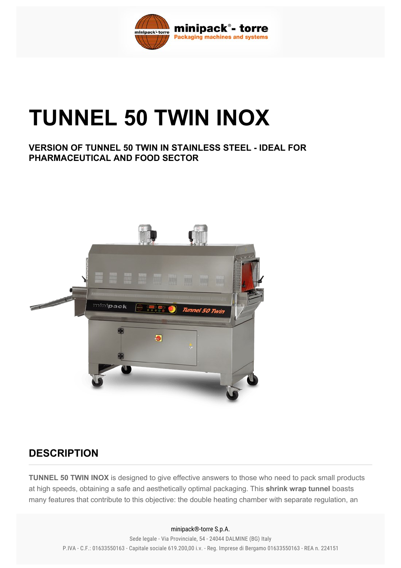

# **TUNNEL 50 TWIN INOX**

#### **VERSION OF TUNNEL 50 TWIN IN STAINLESS STEEL IDEAL FOR PHARMACEUTICAL AND FOOD SECTOR**



## **DESCRIPTION**

**TUNNEL 50 TWIN INOX** is designed to give effective answers to those who need to pack small products at high speeds, obtaining a safe and aesthetically optimal packaging. This **shrink wrap tunnel** boasts many features that contribute to this objective: the double heating chamber with separate regulation, an

#### minipack®-torre S.p.A.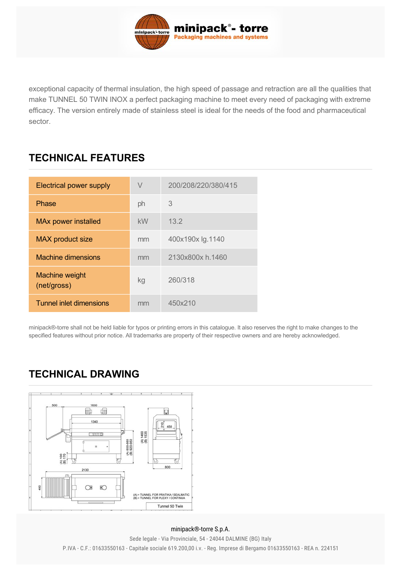

exceptional capacity of thermal insulation, the high speed of passage and retraction are all the qualities that make TUNNEL 50 TWIN INOX a perfect packaging machine to meet every need of packaging with extreme efficacy. The version entirely made of stainless steel is ideal for the needs of the food and pharmaceutical sector.

## **TECHNICAL FEATURES**

| <b>Electrical power supply</b> | V  | 200/208/220/380/415 |
|--------------------------------|----|---------------------|
| Phase                          | ph | 3                   |
| <b>MAx power installed</b>     | kW | 13.2                |
| MAX product size               | mm | 400x190x lg.1140    |
| Machine dimensions             | mm | 2130x800x h.1460    |
| Machine weight<br>(net/gross)  | kg | 260/318             |
| Tunnel inlet dimensions        | mm | 450x210             |

minipack®-torre shall not be held liable for typos or printing errors in this catalogue. It also reserves the right to make changes to the specified features without prior notice. All trademarks are property of their respective owners and are hereby acknowledged.

## **TECHNICAL DRAWING**



#### minipack®-torre S.p.A.

P.IVA - C.F.: 01633550163 - Capitale sociale 619.200,00 i.v. - Reg. Imprese di Bergamo 01633550163 - REA n. 224151 Sede legale - Via Provinciale, 54 - 24044 DALMINE (BG) Italy